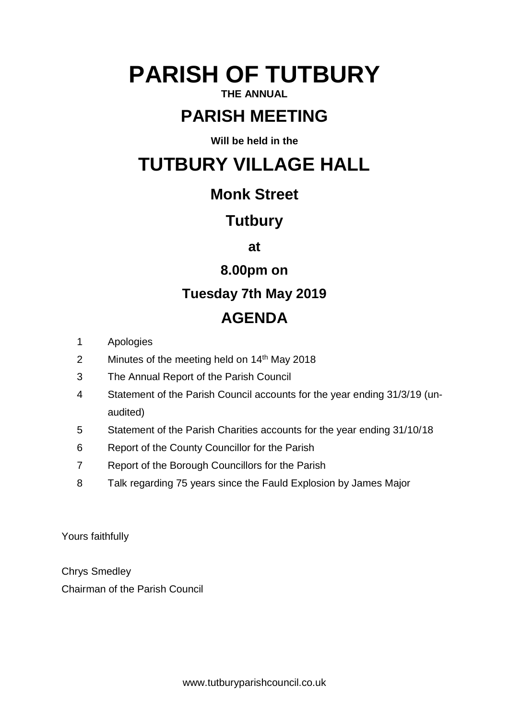# **PARISH OF TUTBURY**

### **THE ANNUAL**

# **PARISH MEETING**

**Will be held in the**

# **TUTBURY VILLAGE HALL**

## **Monk Street**

### **Tutbury**

**at**

**8.00pm on**

# **Tuesday 7th May 2019**

# **AGENDA**

- 1 Apologies
- 2 Minutes of the meeting held on 14<sup>th</sup> May 2018
- 3 The Annual Report of the Parish Council
- 4 Statement of the Parish Council accounts for the year ending 31/3/19 (unaudited)
- 5 Statement of the Parish Charities accounts for the year ending 31/10/18
- 6 Report of the County Councillor for the Parish
- 7 Report of the Borough Councillors for the Parish
- 8 Talk regarding 75 years since the Fauld Explosion by James Major

Yours faithfully

Chrys Smedley Chairman of the Parish Council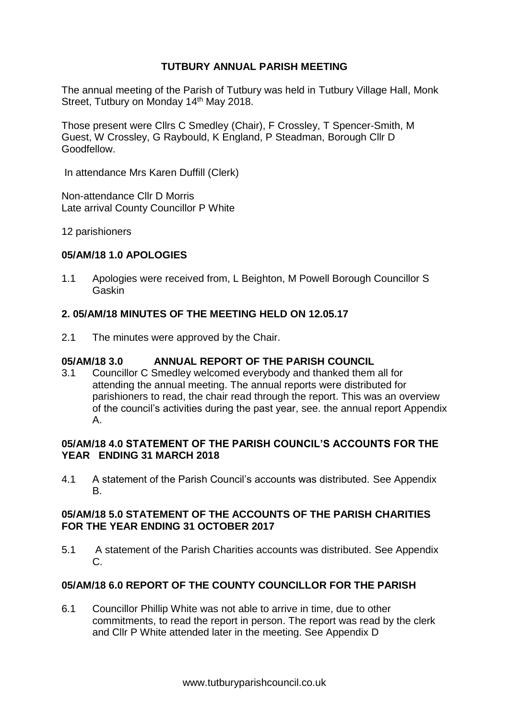#### **TUTBURY ANNUAL PARISH MEETING**

The annual meeting of the Parish of Tutbury was held in Tutbury Village Hall, Monk Street, Tutbury on Monday 14<sup>th</sup> May 2018.

Those present were Cllrs C Smedley (Chair), F Crossley, T Spencer-Smith, M Guest, W Crossley, G Raybould, K England, P Steadman, Borough Cllr D Goodfellow.

In attendance Mrs Karen Duffill (Clerk)

Non-attendance Cllr D Morris Late arrival County Councillor P White

12 parishioners

#### **05/AM/18 1.0 APOLOGIES**

1.1 Apologies were received from, L Beighton, M Powell Borough Councillor S Gaskin

#### **2. 05/AM/18 MINUTES OF THE MEETING HELD ON 12.05.17**

2.1 The minutes were approved by the Chair.

#### **05/AM/18 3.0 ANNUAL REPORT OF THE PARISH COUNCIL**

3.1 Councillor C Smedley welcomed everybody and thanked them all for attending the annual meeting. The annual reports were distributed for parishioners to read, the chair read through the report. This was an overview of the council's activities during the past year, see. the annual report Appendix A.

#### **05/AM/18 4.0 STATEMENT OF THE PARISH COUNCIL'S ACCOUNTS FOR THE YEAR ENDING 31 MARCH 2018**

4.1 A statement of the Parish Council's accounts was distributed. See Appendix B.

#### **05/AM/18 5.0 STATEMENT OF THE ACCOUNTS OF THE PARISH CHARITIES FOR THE YEAR ENDING 31 OCTOBER 2017**

5.1 A statement of the Parish Charities accounts was distributed. See Appendix C.

#### **05/AM/18 6.0 REPORT OF THE COUNTY COUNCILLOR FOR THE PARISH**

6.1 Councillor Phillip White was not able to arrive in time, due to other commitments, to read the report in person. The report was read by the clerk and Cllr P White attended later in the meeting. See Appendix D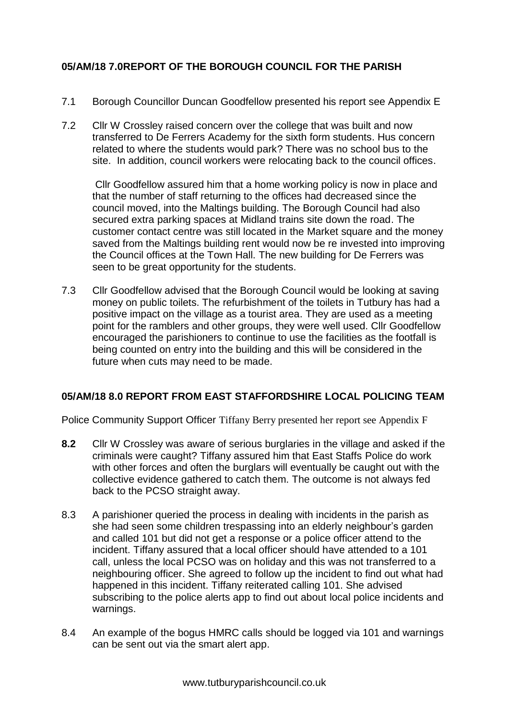#### **05/AM/18 7.0REPORT OF THE BOROUGH COUNCIL FOR THE PARISH**

- 7.1 Borough Councillor Duncan Goodfellow presented his report see Appendix E
- 7.2 Cllr W Crossley raised concern over the college that was built and now transferred to De Ferrers Academy for the sixth form students. Hus concern related to where the students would park? There was no school bus to the site. In addition, council workers were relocating back to the council offices.

Cllr Goodfellow assured him that a home working policy is now in place and that the number of staff returning to the offices had decreased since the council moved, into the Maltings building. The Borough Council had also secured extra parking spaces at Midland trains site down the road. The customer contact centre was still located in the Market square and the money saved from the Maltings building rent would now be re invested into improving the Council offices at the Town Hall. The new building for De Ferrers was seen to be great opportunity for the students.

7.3 Cllr Goodfellow advised that the Borough Council would be looking at saving money on public toilets. The refurbishment of the toilets in Tutbury has had a positive impact on the village as a tourist area. They are used as a meeting point for the ramblers and other groups, they were well used. Cllr Goodfellow encouraged the parishioners to continue to use the facilities as the footfall is being counted on entry into the building and this will be considered in the future when cuts may need to be made.

#### **05/AM/18 8.0 REPORT FROM EAST STAFFORDSHIRE LOCAL POLICING TEAM**

Police Community Support Officer Tiffany Berry presented her report see Appendix F

- **8.2** Cllr W Crossley was aware of serious burglaries in the village and asked if the criminals were caught? Tiffany assured him that East Staffs Police do work with other forces and often the burglars will eventually be caught out with the collective evidence gathered to catch them. The outcome is not always fed back to the PCSO straight away.
- 8.3 A parishioner queried the process in dealing with incidents in the parish as she had seen some children trespassing into an elderly neighbour's garden and called 101 but did not get a response or a police officer attend to the incident. Tiffany assured that a local officer should have attended to a 101 call, unless the local PCSO was on holiday and this was not transferred to a neighbouring officer. She agreed to follow up the incident to find out what had happened in this incident. Tiffany reiterated calling 101. She advised subscribing to the police alerts app to find out about local police incidents and warnings.
- 8.4 An example of the bogus HMRC calls should be logged via 101 and warnings can be sent out via the smart alert app.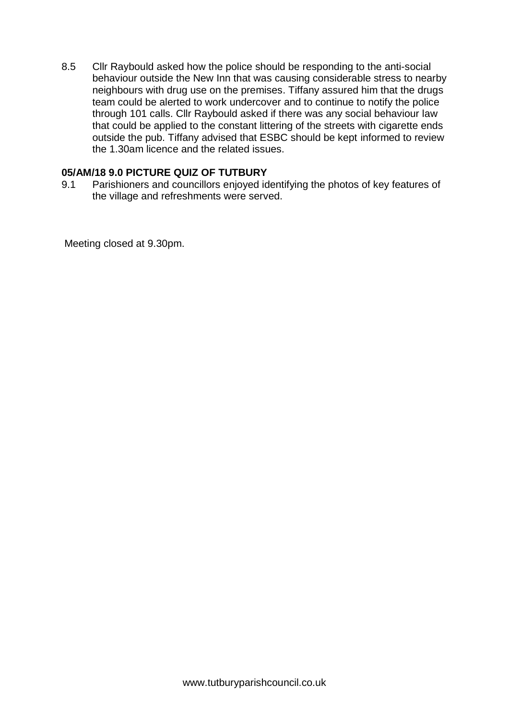8.5 Cllr Raybould asked how the police should be responding to the anti-social behaviour outside the New Inn that was causing considerable stress to nearby neighbours with drug use on the premises. Tiffany assured him that the drugs team could be alerted to work undercover and to continue to notify the police through 101 calls. Cllr Raybould asked if there was any social behaviour law that could be applied to the constant littering of the streets with cigarette ends outside the pub. Tiffany advised that ESBC should be kept informed to review the 1.30am licence and the related issues.

#### **05/AM/18 9.0 PICTURE QUIZ OF TUTBURY**

9.1 Parishioners and councillors enjoyed identifying the photos of key features of the village and refreshments were served.

Meeting closed at 9.30pm.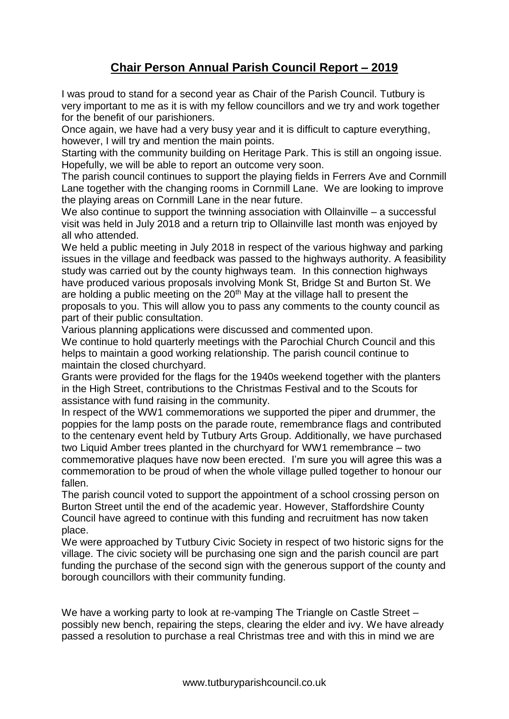### **Chair Person Annual Parish Council Report – 2019**

I was proud to stand for a second year as Chair of the Parish Council. Tutbury is very important to me as it is with my fellow councillors and we try and work together for the benefit of our parishioners.

Once again, we have had a very busy year and it is difficult to capture everything, however, I will try and mention the main points.

Starting with the community building on Heritage Park. This is still an ongoing issue. Hopefully, we will be able to report an outcome very soon.

The parish council continues to support the playing fields in Ferrers Ave and Cornmill Lane together with the changing rooms in Cornmill Lane. We are looking to improve the playing areas on Cornmill Lane in the near future.

We also continue to support the twinning association with Ollainville – a successful visit was held in July 2018 and a return trip to Ollainville last month was enjoyed by all who attended.

We held a public meeting in July 2018 in respect of the various highway and parking issues in the village and feedback was passed to the highways authority. A feasibility study was carried out by the county highways team. In this connection highways have produced various proposals involving Monk St, Bridge St and Burton St. We are holding a public meeting on the  $20<sup>th</sup>$  May at the village hall to present the proposals to you. This will allow you to pass any comments to the county council as part of their public consultation.

Various planning applications were discussed and commented upon. We continue to hold quarterly meetings with the Parochial Church Council and this helps to maintain a good working relationship. The parish council continue to maintain the closed churchyard.

Grants were provided for the flags for the 1940s weekend together with the planters in the High Street, contributions to the Christmas Festival and to the Scouts for assistance with fund raising in the community.

In respect of the WW1 commemorations we supported the piper and drummer, the poppies for the lamp posts on the parade route, remembrance flags and contributed to the centenary event held by Tutbury Arts Group. Additionally, we have purchased two Liquid Amber trees planted in the churchyard for WW1 remembrance – two commemorative plaques have now been erected. I'm sure you will agree this was a commemoration to be proud of when the whole village pulled together to honour our fallen.

The parish council voted to support the appointment of a school crossing person on Burton Street until the end of the academic year. However, Staffordshire County Council have agreed to continue with this funding and recruitment has now taken place.

We were approached by Tutbury Civic Society in respect of two historic signs for the village. The civic society will be purchasing one sign and the parish council are part funding the purchase of the second sign with the generous support of the county and borough councillors with their community funding.

We have a working party to look at re-vamping The Triangle on Castle Street – possibly new bench, repairing the steps, clearing the elder and ivy. We have already passed a resolution to purchase a real Christmas tree and with this in mind we are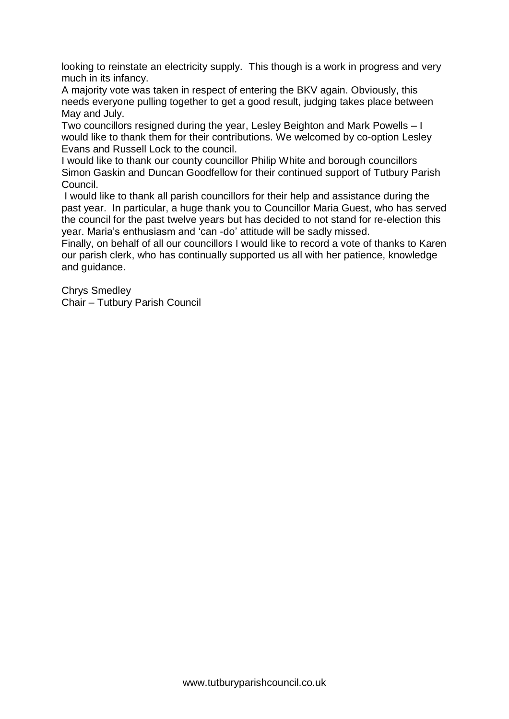looking to reinstate an electricity supply. This though is a work in progress and very much in its infancy.

A majority vote was taken in respect of entering the BKV again. Obviously, this needs everyone pulling together to get a good result, judging takes place between May and July.

Two councillors resigned during the year, Lesley Beighton and Mark Powells – I would like to thank them for their contributions. We welcomed by co-option Lesley Evans and Russell Lock to the council.

I would like to thank our county councillor Philip White and borough councillors Simon Gaskin and Duncan Goodfellow for their continued support of Tutbury Parish Council.

I would like to thank all parish councillors for their help and assistance during the past year. In particular, a huge thank you to Councillor Maria Guest, who has served the council for the past twelve years but has decided to not stand for re-election this year. Maria's enthusiasm and 'can -do' attitude will be sadly missed.

Finally, on behalf of all our councillors I would like to record a vote of thanks to Karen our parish clerk, who has continually supported us all with her patience, knowledge and guidance.

Chrys Smedley Chair – Tutbury Parish Council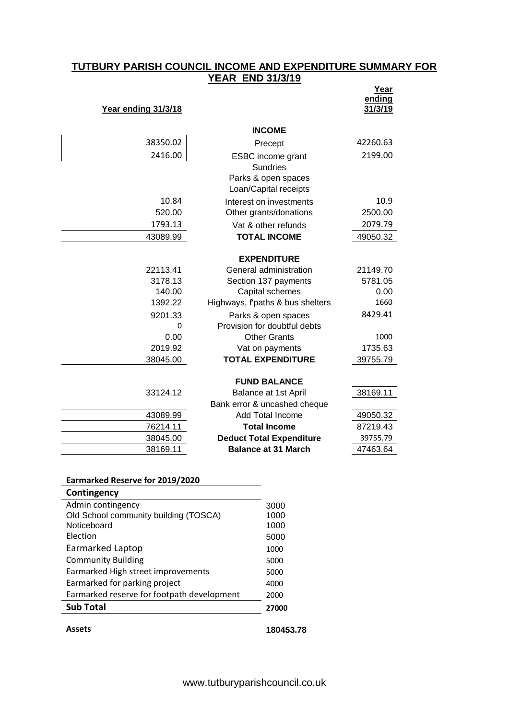#### **TUTBURY PARISH COUNCIL INCOME AND EXPENDITURE SUMMARY FOR YEAR END 31/3/19**

| Year ending 31/3/18 |                                              | Year<br>ending<br>31/3/19 |
|---------------------|----------------------------------------------|---------------------------|
|                     | <b>INCOME</b>                                |                           |
| 38350.02            | Precept                                      | 42260.63                  |
| 2416.00             | ESBC income grant<br><b>Sundries</b>         | 2199.00                   |
|                     | Parks & open spaces<br>Loan/Capital receipts |                           |
| 10.84               | Interest on investments                      | 10.9                      |
| 520.00              | Other grants/donations                       | 2500.00                   |
| 1793.13             | Vat & other refunds                          | 2079.79                   |
| 43089.99            | <b>TOTAL INCOME</b>                          | 49050.32                  |
|                     | <b>EXPENDITURE</b>                           |                           |
| 22113.41            | General administration                       | 21149.70                  |
| 3178.13             | Section 137 payments                         | 5781.05                   |
| 140.00              | Capital schemes                              | 0.00                      |
| 1392.22             | Highways, f'paths & bus shelters             | 1660                      |
| 9201.33             | Parks & open spaces                          | 8429.41                   |
| 0                   | Provision for doubtful debts                 |                           |
| 0.00                | <b>Other Grants</b>                          | 1000                      |
| 2019.92             | Vat on payments                              | 1735.63                   |
| 38045.00            | <b>TOTAL EXPENDITURE</b>                     | 39755.79                  |
|                     | <b>FUND BALANCE</b>                          |                           |
| 33124.12            | Balance at 1st April                         | 38169.11                  |
|                     | Bank error & uncashed cheque                 |                           |
| 43089.99            | Add Total Income                             | 49050.32                  |
| 76214.11            | <b>Total Income</b>                          | 87219.43                  |
| 38045.00            | <b>Deduct Total Expenditure</b>              | 39755.79                  |
| 38169.11            | <b>Balance at 31 March</b>                   | 47463.64                  |
|                     |                                              |                           |

#### **Earmarked Reserve for 2019/2020**

| Contingency                                |           |
|--------------------------------------------|-----------|
| Admin contingency                          | 3000      |
| Old School community building (TOSCA)      | 1000      |
| Noticeboard                                | 1000      |
| Election                                   | 5000      |
| Earmarked Laptop                           | 1000      |
| <b>Community Building</b>                  | 5000      |
| Earmarked High street improvements         | 5000      |
| Earmarked for parking project              | 4000      |
| Earmarked reserve for footpath development | 2000      |
| <b>Sub Total</b>                           | 27000     |
| Assets                                     | 180453.78 |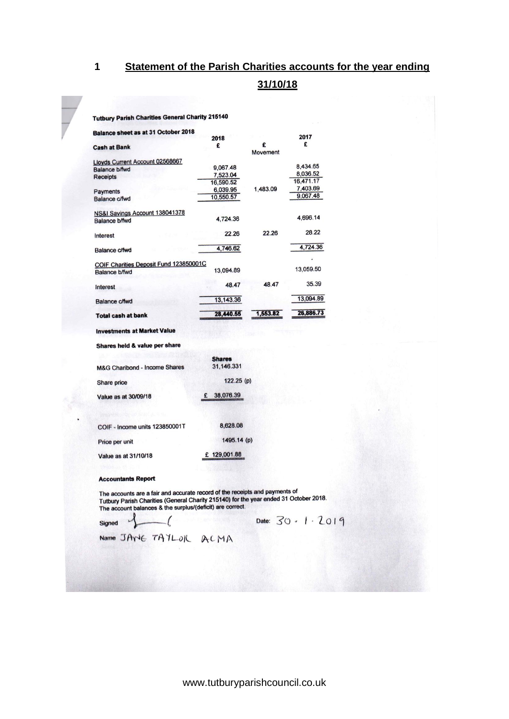#### **1 Statement of the Parish Charities accounts for the year ending**

#### **31/10/18**

#### **Tutbury Parish Charities General Charity 215140**

| Balance sheet as at 31 October 2018      |                |               |           |
|------------------------------------------|----------------|---------------|-----------|
|                                          | 2018           |               | 2017      |
| <b>Cash at Bank</b>                      | £              | £<br>Movement | £         |
| Lloyds Current Account 02568667          |                |               |           |
| <b>Balance b/fwd</b>                     | 9,067.48       |               | 8,434.65  |
| <b>Receipts</b>                          | 7.523.04       |               | 8.036.52  |
|                                          | 16,590.52      |               | 16,471.17 |
| Payments                                 | 6,039.95       | 1,483.09      | 7,403.69  |
| Balance c/fwd                            | 10,550.57      |               | 9,067.48  |
| NS&I Savings Account 138041378           |                |               |           |
| <b>Balance b/fwd</b>                     | 4,724.36       |               | 4,696.14  |
| Interest                                 | 22.26          | 22.26         | 28.22     |
| Balance c/fwd                            | 4,746.62       |               | 4,724.36  |
| COIF Charities Deposit Fund 123850001C   |                |               |           |
| <b>Balance b/fwd</b>                     | 13,094.89      |               | 13,059.50 |
| Interest                                 | 48.47          | 48.47         | 35.39     |
| <b>Balance c/fwd</b>                     | 13,143.36      |               | 13,094.89 |
| <b>Total cash at bank</b>                | 28,440.55      | 1,553.82      | 26,886.73 |
| <b>Investments at Market Value</b>       |                |               |           |
| Shares held & value per share            |                |               |           |
|                                          | <b>Shares</b>  |               |           |
| <b>M&amp;G Charibond - Income Shares</b> | 31,146.331     |               |           |
| Share price                              | 122.25(p)      |               |           |
| Value as at 30/09/18                     | 38,076.39<br>£ |               |           |

| COIF - Income units 123850001T | 8.628.08    |
|--------------------------------|-------------|
| Price per unit                 | 1495.14(p)  |
| Value as at 31/10/18           | £129,001.88 |

#### **Accountants Report**

The accounts are a fair and accurate record of the receipts and payments of<br>Tutbury Parish Charities (General Charity 215140) for the year ended 31 October 2018.<br>The account balances & the surplus/(deficit) are correct.

Signed

Date: 30 . 1 . 2019

Name JANE TATLOR ACMA

 $\sqrt{ }$